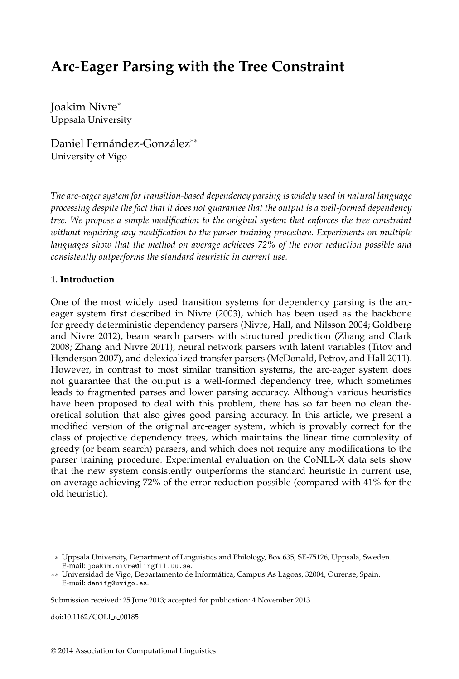# **Arc-Eager Parsing with the Tree Constraint**

Joakim Nivre<sup>∗</sup> Uppsala University

Daniel Fernández-González<sup>∗∗</sup> University of Vigo

*The arc-eager system for transition-based dependency parsing is widely used in natural language processing despite the fact that it does not guarantee that the output is a well-formed dependency tree. We propose a simple modification to the original system that enforces the tree constraint without requiring any modification to the parser training procedure. Experiments on multiple languages show that the method on average achieves 72% of the error reduction possible and consistently outperforms the standard heuristic in current use.*

## **1. Introduction**

One of the most widely used transition systems for dependency parsing is the arceager system first described in Nivre (2003), which has been used as the backbone for greedy deterministic dependency parsers (Nivre, Hall, and Nilsson 2004; Goldberg and Nivre 2012), beam search parsers with structured prediction (Zhang and Clark 2008; Zhang and Nivre 2011), neural network parsers with latent variables (Titov and Henderson 2007), and delexicalized transfer parsers (McDonald, Petrov, and Hall 2011). However, in contrast to most similar transition systems, the arc-eager system does not guarantee that the output is a well-formed dependency tree, which sometimes leads to fragmented parses and lower parsing accuracy. Although various heuristics have been proposed to deal with this problem, there has so far been no clean theoretical solution that also gives good parsing accuracy. In this article, we present a modified version of the original arc-eager system, which is provably correct for the class of projective dependency trees, which maintains the linear time complexity of greedy (or beam search) parsers, and which does not require any modifications to the parser training procedure. Experimental evaluation on the CoNLL-X data sets show that the new system consistently outperforms the standard heuristic in current use, on average achieving 72% of the error reduction possible (compared with 41% for the old heuristic).

doi:10.1162/COLI a 00185

<sup>∗</sup> Uppsala University, Department of Linguistics and Philology, Box 635, SE-75126, Uppsala, Sweden. E-mail: joakim.nivre@lingfil.uu.se.

<sup>∗∗</sup> Universidad de Vigo, Departamento de Informática, Campus As Lagoas, 32004, Ourense, Spain. E-mail: danifg@uvigo.es.

Submission received: 25 June 2013; accepted for publication: 4 November 2013.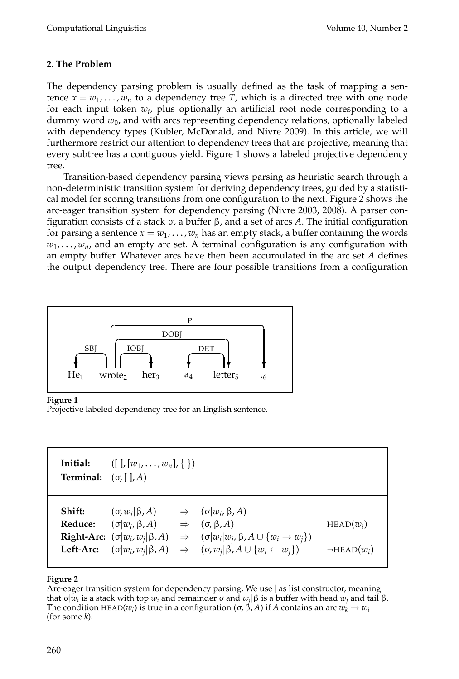## **2. The Problem**

The dependency parsing problem is usually defined as the task of mapping a sentence  $x = w_1, \dots, w_n$  to a dependency tree *T*, which is a directed tree with one node for each input token *w<sup>i</sup>* , plus optionally an artificial root node corresponding to a dummy word *w*<sup>0</sup> , and with arcs representing dependency relations, optionally labeled with dependency types (Kübler, McDonald, and Nivre 2009). In this article, we will furthermore restrict our attention to dependency trees that are projective, meaning that every subtree has a contiguous yield. Figure 1 shows a labeled projective dependency tree.

Transition-based dependency parsing views parsing as heuristic search through a non-deterministic transition system for deriving dependency trees, guided by a statistical model for scoring transitions from one configuration to the next. Figure 2 shows the arc-eager transition system for dependency parsing (Nivre 2003, 2008). A parser configuration consists of a stack σ, a buffer β, and a set of arcs *A*. The initial configuration for parsing a sentence  $x = w_1, \ldots, w_n$  has an empty stack, a buffer containing the words *w*1 , . . . , *wn*, and an empty arc set. A terminal configuration is any configuration with an empty buffer. Whatever arcs have then been accumulated in the arc set *A* defines the output dependency tree. There are four possible transitions from a configuration



#### **Figure 1**

Projective labeled dependency tree for an English sentence.

| Initial:<br><b>Terminal:</b> $(\sigma, [\ ], A)$ | $([l, [w_1, \ldots, w_n], \{\})]$                                                                                                              |                                                                                                                                                                                                                                            |                                    |
|--------------------------------------------------|------------------------------------------------------------------------------------------------------------------------------------------------|--------------------------------------------------------------------------------------------------------------------------------------------------------------------------------------------------------------------------------------------|------------------------------------|
| Shift:<br>Reduce:                                | $(\sigma, w_i   \beta, A)$<br>$(\sigma   w_i, \beta, A)$ $\Rightarrow$ $(\sigma, \beta, A)$<br><b>Left-Arc:</b> $(\sigma  w_i, w_i  \beta, A)$ | $\Rightarrow$ $(\sigma   w_i, \beta, A)$<br><b>Right-Arc:</b> $(\sigma  w_i, w_j  \beta, A) \Rightarrow (\sigma  w_i  w_j, \beta, A \cup \{w_i \rightarrow w_j\})$<br>$\Rightarrow$ $(\sigma, w_i   \beta, A \cup \{w_i \leftarrow w_i\})$ | $HEAD(w_i)$<br>$\neg$ HEAD $(w_i)$ |

## **Figure 2**

Arc-eager transition system for dependency parsing. We use | as list constructor, meaning that σ $|w_i|$  is a stack with top  $w_i$  and remainder σ and  $w_j|\beta$  is a buffer with head  $w_j$  and tail β. The condition HEAD( $w_i$ ) is true in a configuration (σ, β, *A*) if *A* contains an arc  $w_k \to w_i$ (for some *k*).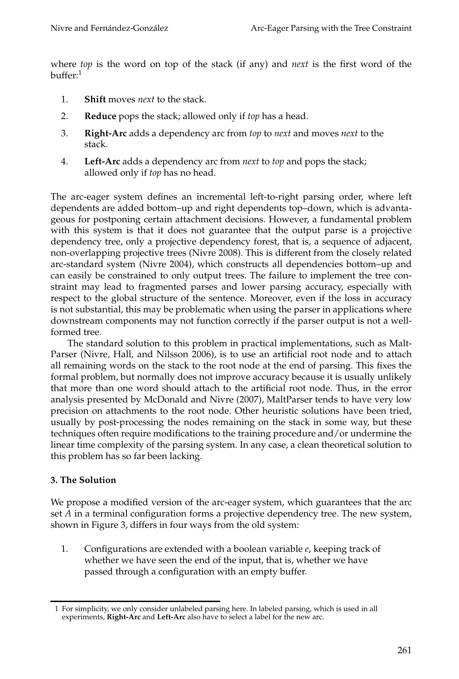where *top* is the word on top of the stack (if any) and *next* is the first word of the buffer:<sup>1</sup>

- 1. **Shift** moves *next* to the stack.
- 2. **Reduce** pops the stack; allowed only if *top* has a head.
- 3. **Right-Arc** adds a dependency arc from *top* to *next* and moves *next* to the stack.
- 4. **Left-Arc** adds a dependency arc from *next* to *top* and pops the stack; allowed only if *top* has no head.

The arc-eager system defines an incremental left-to-right parsing order, where left dependents are added bottom–up and right dependents top–down, which is advantageous for postponing certain attachment decisions. However, a fundamental problem with this system is that it does not guarantee that the output parse is a projective dependency tree, only a projective dependency forest, that is, a sequence of adjacent, non-overlapping projective trees (Nivre 2008). This is different from the closely related arc-standard system (Nivre 2004), which constructs all dependencies bottom–up and can easily be constrained to only output trees. The failure to implement the tree constraint may lead to fragmented parses and lower parsing accuracy, especially with respect to the global structure of the sentence. Moreover, even if the loss in accuracy is not substantial, this may be problematic when using the parser in applications where downstream components may not function correctly if the parser output is not a wellformed tree.

The standard solution to this problem in practical implementations, such as Malt-Parser (Nivre, Hall, and Nilsson 2006), is to use an artificial root node and to attach all remaining words on the stack to the root node at the end of parsing. This fixes the formal problem, but normally does not improve accuracy because it is usually unlikely that more than one word should attach to the artificial root node. Thus, in the error analysis presented by McDonald and Nivre (2007), MaltParser tends to have very low precision on attachments to the root node. Other heuristic solutions have been tried, usually by post-processing the nodes remaining on the stack in some way, but these techniques often require modifications to the training procedure and/or undermine the linear time complexity of the parsing system. In any case, a clean theoretical solution to this problem has so far been lacking.

## **3. The Solution**

We propose a modified version of the arc-eager system, which guarantees that the arc set *A* in a terminal configuration forms a projective dependency tree. The new system, shown in Figure 3, differs in four ways from the old system:

1. Configurations are extended with a boolean variable *e*, keeping track of whether we have seen the end of the input, that is, whether we have passed through a configuration with an empty buffer.

<sup>1</sup> For simplicity, we only consider unlabeled parsing here. In labeled parsing, which is used in all experiments, **Right-Arc** and **Left-Arc** also have to select a label for the new arc.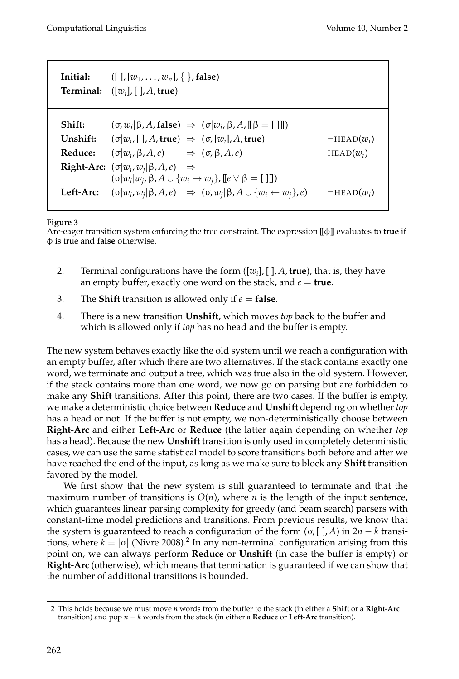| Initial: | $([], [w_1, \ldots, w_n], \{\},\$ false)<br><b>Terminal:</b> $([w_i], [], A, true)$                                             |                     |  |  |  |  |  |  |  |
|----------|---------------------------------------------------------------------------------------------------------------------------------|---------------------|--|--|--|--|--|--|--|
|          |                                                                                                                                 |                     |  |  |  |  |  |  |  |
| Shift:   | $(\sigma, w_i   \beta, A, false) \Rightarrow (\sigma   w_i, \beta, A, \lbrack \lbrack \beta \rbrack = \lbrack \rbrack \rbrack)$ |                     |  |  |  |  |  |  |  |
| Unshift: | $(\sigma  w_{i} \,  _{\mathcal{A}})$ , true $) \Rightarrow (\sigma, [w_{i}], A$ , true)                                         | $\neg$ HEAD $(w_i)$ |  |  |  |  |  |  |  |
| Reduce:  | $(\sigma   w_i, \beta, A, e)$ $\Rightarrow$ $(\sigma, \beta, A, e)$                                                             | $HEAD(w_i)$         |  |  |  |  |  |  |  |
|          | <b>Right-Arc:</b> $(\sigma  w_i, w_j  \beta, A, e) \Rightarrow$                                                                 |                     |  |  |  |  |  |  |  |
|          | $(\sigma  w_i w_j, \beta, A \cup \{w_i \rightarrow w_j\}, [\lbrack e \vee \beta \rbrack] )$                                     |                     |  |  |  |  |  |  |  |
|          | Left-Arc: $(\sigma  w_i, w_j  \beta, A, e) \Rightarrow (\sigma, w_j   \beta, A \cup \{w_i \leftarrow w_j\}, e)$                 | $\neg$ HEAD $(w_i)$ |  |  |  |  |  |  |  |

#### **Figure 3**

Arc-eager transition system enforcing the tree constraint. The expression [[φ]] evaluates to **true** if φ is true and **false** otherwise.

- 2. Terminal configurations have the form ([*w<sup>i</sup>* ], [ ], *A*, **true**), that is, they have an empty buffer, exactly one word on the stack, and  $e = \text{true}$ .
- 3. The **Shift** transition is allowed only if  $e =$  **false**.
- 4. There is a new transition **Unshift**, which moves *top* back to the buffer and which is allowed only if *top* has no head and the buffer is empty.

The new system behaves exactly like the old system until we reach a configuration with an empty buffer, after which there are two alternatives. If the stack contains exactly one word, we terminate and output a tree, which was true also in the old system. However, if the stack contains more than one word, we now go on parsing but are forbidden to make any **Shift** transitions. After this point, there are two cases. If the buffer is empty, we make a deterministic choice between **Reduce** and **Unshift** depending on whether *top* has a head or not. If the buffer is not empty, we non-deterministically choose between **Right-Arc** and either **Left-Arc** or **Reduce** (the latter again depending on whether *top* has a head). Because the new **Unshift** transition is only used in completely deterministic cases, we can use the same statistical model to score transitions both before and after we have reached the end of the input, as long as we make sure to block any **Shift** transition favored by the model.

We first show that the new system is still guaranteed to terminate and that the maximum number of transitions is  $O(n)$ , where *n* is the length of the input sentence, which guarantees linear parsing complexity for greedy (and beam search) parsers with constant-time model predictions and transitions. From previous results, we know that the system is guaranteed to reach a configuration of the form  $(\sigma, [\cdot], A)$  in  $2n - k$  transitions, where  $k = |\sigma|$  (Nivre 2008).<sup>2</sup> In any non-terminal configuration arising from this point on, we can always perform **Reduce** or **Unshift** (in case the buffer is empty) or **Right-Arc** (otherwise), which means that termination is guaranteed if we can show that the number of additional transitions is bounded.

<sup>2</sup> This holds because we must move *n* words from the buffer to the stack (in either a **Shift** or a **Right-Arc** transition) and pop *n* − *k* words from the stack (in either a **Reduce** or **Left-Arc** transition).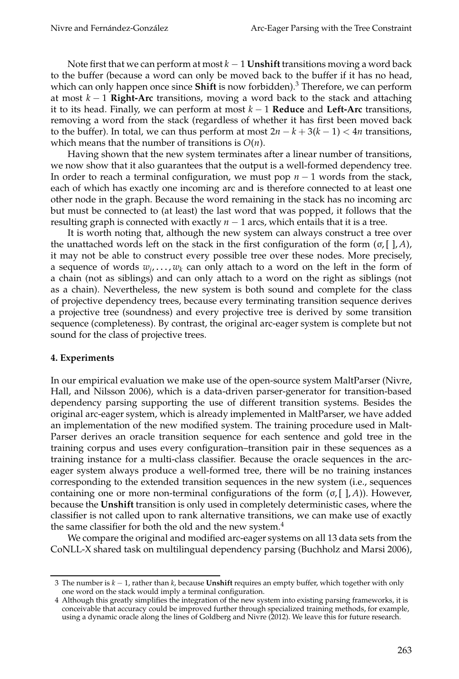Note first that we can perform at most  $k - 1$  **Unshift** transitions moving a word back to the buffer (because a word can only be moved back to the buffer if it has no head, which can only happen once since **Shift** is now forbidden).<sup>3</sup> Therefore, we can perform at most *k* − 1 **Right-Arc** transitions, moving a word back to the stack and attaching it to its head. Finally, we can perform at most *k* − 1 **Reduce** and **Left-Arc** transitions, removing a word from the stack (regardless of whether it has first been moved back to the buffer). In total, we can thus perform at most  $2n - k + 3(k - 1) < 4n$  transitions, which means that the number of transitions is *O*(*n*).

Having shown that the new system terminates after a linear number of transitions, we now show that it also guarantees that the output is a well-formed dependency tree. In order to reach a terminal configuration, we must pop  $n - 1$  words from the stack, each of which has exactly one incoming arc and is therefore connected to at least one other node in the graph. Because the word remaining in the stack has no incoming arc but must be connected to (at least) the last word that was popped, it follows that the resulting graph is connected with exactly  $n - 1$  arcs, which entails that it is a tree.

It is worth noting that, although the new system can always construct a tree over the unattached words left on the stack in the first configuration of the form  $(\sigma, [\ ], A)$ , it may not be able to construct every possible tree over these nodes. More precisely, a sequence of words  $w_j, \ldots, w_k$  can only attach to a word on the left in the form of a chain (not as siblings) and can only attach to a word on the right as siblings (not as a chain). Nevertheless, the new system is both sound and complete for the class of projective dependency trees, because every terminating transition sequence derives a projective tree (soundness) and every projective tree is derived by some transition sequence (completeness). By contrast, the original arc-eager system is complete but not sound for the class of projective trees.

#### **4. Experiments**

In our empirical evaluation we make use of the open-source system MaltParser (Nivre, Hall, and Nilsson 2006), which is a data-driven parser-generator for transition-based dependency parsing supporting the use of different transition systems. Besides the original arc-eager system, which is already implemented in MaltParser, we have added an implementation of the new modified system. The training procedure used in Malt-Parser derives an oracle transition sequence for each sentence and gold tree in the training corpus and uses every configuration–transition pair in these sequences as a training instance for a multi-class classifier. Because the oracle sequences in the arceager system always produce a well-formed tree, there will be no training instances corresponding to the extended transition sequences in the new system (i.e., sequences containing one or more non-terminal configurations of the form  $(\sigma, [ , A )$ ). However, because the **Unshift** transition is only used in completely deterministic cases, where the classifier is not called upon to rank alternative transitions, we can make use of exactly the same classifier for both the old and the new system.<sup>4</sup>

We compare the original and modified arc-eager systems on all 13 data sets from the CoNLL-X shared task on multilingual dependency parsing (Buchholz and Marsi 2006),

<sup>3</sup> The number is *k* − 1, rather than *k*, because **Unshift** requires an empty buffer, which together with only one word on the stack would imply a terminal configuration.

<sup>4</sup> Although this greatly simplifies the integration of the new system into existing parsing frameworks, it is conceivable that accuracy could be improved further through specialized training methods, for example, using a dynamic oracle along the lines of Goldberg and Nivre (2012). We leave this for future research.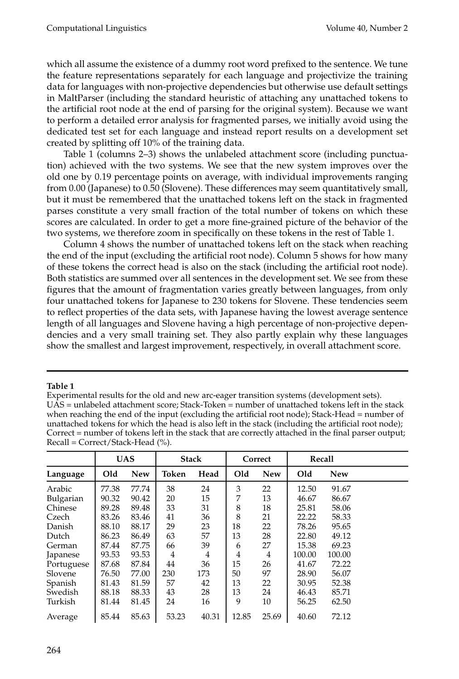which all assume the existence of a dummy root word prefixed to the sentence. We tune the feature representations separately for each language and projectivize the training data for languages with non-projective dependencies but otherwise use default settings in MaltParser (including the standard heuristic of attaching any unattached tokens to the artificial root node at the end of parsing for the original system). Because we want to perform a detailed error analysis for fragmented parses, we initially avoid using the dedicated test set for each language and instead report results on a development set created by splitting off 10% of the training data.

Table 1 (columns 2–3) shows the unlabeled attachment score (including punctuation) achieved with the two systems. We see that the new system improves over the old one by 0.19 percentage points on average, with individual improvements ranging from 0.00 (Japanese) to 0.50 (Slovene). These differences may seem quantitatively small, but it must be remembered that the unattached tokens left on the stack in fragmented parses constitute a very small fraction of the total number of tokens on which these scores are calculated. In order to get a more fine-grained picture of the behavior of the two systems, we therefore zoom in specifically on these tokens in the rest of Table 1.

Column 4 shows the number of unattached tokens left on the stack when reaching the end of the input (excluding the artificial root node). Column 5 shows for how many of these tokens the correct head is also on the stack (including the artificial root node). Both statistics are summed over all sentences in the development set. We see from these figures that the amount of fragmentation varies greatly between languages, from only four unattached tokens for Japanese to 230 tokens for Slovene. These tendencies seem to reflect properties of the data sets, with Japanese having the lowest average sentence length of all languages and Slovene having a high percentage of non-projective dependencies and a very small training set. They also partly explain why these languages show the smallest and largest improvement, respectively, in overall attachment score.

#### **Table 1**

Experimental results for the old and new arc-eager transition systems (development sets). UAS = unlabeled attachment score; Stack-Token = number of unattached tokens left in the stack when reaching the end of the input (excluding the artificial root node); Stack-Head = number of unattached tokens for which the head is also left in the stack (including the artificial root node); Correct = number of tokens left in the stack that are correctly attached in the final parser output; Recall = Correct/Stack-Head (%).

|            | <b>UAS</b> |            | <b>Stack</b> |       |       | Correct    |        | Recall     |  |
|------------|------------|------------|--------------|-------|-------|------------|--------|------------|--|
| Language   | Old        | <b>New</b> | Token        | Head  | Old   | <b>New</b> | Old    | <b>New</b> |  |
| Arabic     | 77.38      | 77.74      | 38           | 24    | 3     | 22         | 12.50  | 91.67      |  |
| Bulgarian  | 90.32      | 90.42      | 20           | 15    | 7     | 13         | 46.67  | 86.67      |  |
| Chinese    | 89.28      | 89.48      | 33           | 31    | 8     | 18         | 25.81  | 58.06      |  |
| Czech      | 83.26      | 83.46      | 41           | 36    | 8     | 21         | 22.22  | 58.33      |  |
| Danish     | 88.10      | 88.17      | 29           | 23    | 18    | 22         | 78.26  | 95.65      |  |
| Dutch      | 86.23      | 86.49      | 63           | 57    | 13    | 28         | 22.80  | 49.12      |  |
| German     | 87.44      | 87.75      | 66           | 39    | 6     | 27         | 15.38  | 69.23      |  |
| Japanese   | 93.53      | 93.53      | 4            | 4     | 4     | 4          | 100.00 | 100.00     |  |
| Portuguese | 87.68      | 87.84      | 44           | 36    | 15    | 26         | 41.67  | 72.22      |  |
| Slovene    | 76.50      | 77.00      | 230          | 173   | 50    | 97         | 28.90  | 56.07      |  |
| Spanish    | 81.43      | 81.59      | 57           | 42    | 13    | 22         | 30.95  | 52.38      |  |
| Swedish    | 88.18      | 88.33      | 43           | 28    | 13    | 24         | 46.43  | 85.71      |  |
| Turkish    | 81.44      | 81.45      | 24           | 16    | 9     | 10         | 56.25  | 62.50      |  |
| Average    | 85.44      | 85.63      | 53.23        | 40.31 | 12.85 | 25.69      | 40.60  | 72.12      |  |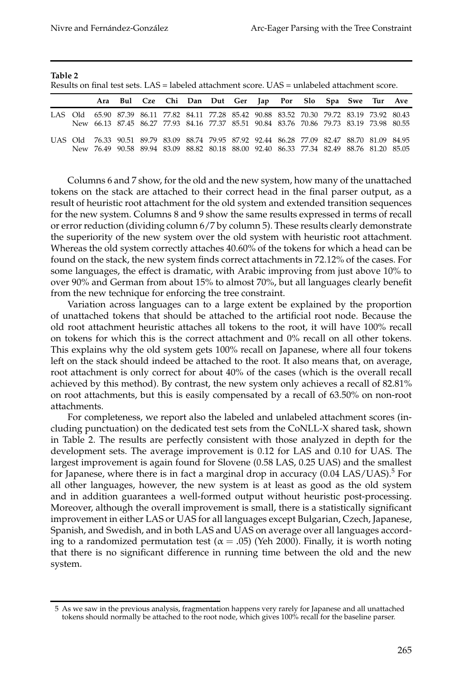**Table 2**

| Results on final test sets. LAS = labeled attachment score. UAS = unlabeled attachment score. |  |                                                                                                                                                                                        |  |  |                                                         |  |  |  |  |  |  |  |  |  |
|-----------------------------------------------------------------------------------------------|--|----------------------------------------------------------------------------------------------------------------------------------------------------------------------------------------|--|--|---------------------------------------------------------|--|--|--|--|--|--|--|--|--|
|                                                                                               |  |                                                                                                                                                                                        |  |  | Ara Bul Cze Chi Dan Dut Ger Jap Por Slo Spa Swe Tur Ave |  |  |  |  |  |  |  |  |  |
|                                                                                               |  | LAS Old 65.90 87.39 86.11 77.82 84.11 77.28 85.42 90.88 83.52 70.30 79.72 83.19 73.92 80.43<br>New 66.13 87.45 86.27 77.93 84.16 77.37 85.51 90.84 83.76 70.86 79.73 83.19 73.98 80.55 |  |  |                                                         |  |  |  |  |  |  |  |  |  |
|                                                                                               |  | UAS Old 76.33 90.51 89.79 83.09 88.74 79.95 87.92 92.44 86.28 77.09 82.47 88.70 81.09 84.95                                                                                            |  |  |                                                         |  |  |  |  |  |  |  |  |  |

New 76.49 90.58 89.94 83.09 88.82 80.18 88.00 92.40 86.33 77.34 82.49 88.76 81.20 85.05

Columns 6 and 7 show, for the old and the new system, how many of the unattached tokens on the stack are attached to their correct head in the final parser output, as a result of heuristic root attachment for the old system and extended transition sequences for the new system. Columns 8 and 9 show the same results expressed in terms of recall or error reduction (dividing column 6/7 by column 5). These results clearly demonstrate the superiority of the new system over the old system with heuristic root attachment. Whereas the old system correctly attaches 40.60% of the tokens for which a head can be found on the stack, the new system finds correct attachments in 72.12% of the cases. For some languages, the effect is dramatic, with Arabic improving from just above 10% to over 90% and German from about 15% to almost 70%, but all languages clearly benefit from the new technique for enforcing the tree constraint.

Variation across languages can to a large extent be explained by the proportion of unattached tokens that should be attached to the artificial root node. Because the old root attachment heuristic attaches all tokens to the root, it will have 100% recall on tokens for which this is the correct attachment and 0% recall on all other tokens. This explains why the old system gets 100% recall on Japanese, where all four tokens left on the stack should indeed be attached to the root. It also means that, on average, root attachment is only correct for about 40% of the cases (which is the overall recall achieved by this method). By contrast, the new system only achieves a recall of 82.81% on root attachments, but this is easily compensated by a recall of 63.50% on non-root attachments.

For completeness, we report also the labeled and unlabeled attachment scores (including punctuation) on the dedicated test sets from the CoNLL-X shared task, shown in Table 2. The results are perfectly consistent with those analyzed in depth for the development sets. The average improvement is 0.12 for LAS and 0.10 for UAS. The largest improvement is again found for Slovene (0.58 LAS, 0.25 UAS) and the smallest for Japanese, where there is in fact a marginal drop in accuracy  $(0.04 \text{ LAS/UAS})^5$  For all other languages, however, the new system is at least as good as the old system and in addition guarantees a well-formed output without heuristic post-processing. Moreover, although the overall improvement is small, there is a statistically significant improvement in either LAS or UAS for all languages except Bulgarian, Czech, Japanese, Spanish, and Swedish, and in both LAS and UAS on average over all languages according to a randomized permutation test ( $\alpha = .05$ ) (Yeh 2000). Finally, it is worth noting that there is no significant difference in running time between the old and the new system.

<sup>5</sup> As we saw in the previous analysis, fragmentation happens very rarely for Japanese and all unattached tokens should normally be attached to the root node, which gives 100% recall for the baseline parser.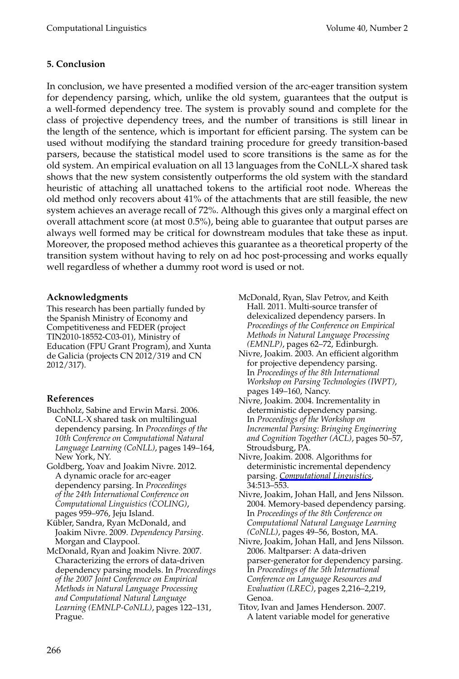# **5. Conclusion**

In conclusion, we have presented a modified version of the arc-eager transition system for dependency parsing, which, unlike the old system, guarantees that the output is a well-formed dependency tree. The system is provably sound and complete for the class of projective dependency trees, and the number of transitions is still linear in the length of the sentence, which is important for efficient parsing. The system can be used without modifying the standard training procedure for greedy transition-based parsers, because the statistical model used to score transitions is the same as for the old system. An empirical evaluation on all 13 languages from the CoNLL-X shared task shows that the new system consistently outperforms the old system with the standard heuristic of attaching all unattached tokens to the artificial root node. Whereas the old method only recovers about 41% of the attachments that are still feasible, the new system achieves an average recall of 72%. Although this gives only a marginal effect on overall attachment score (at most 0.5%), being able to guarantee that output parses are always well formed may be critical for downstream modules that take these as input. Moreover, the proposed method achieves this guarantee as a theoretical property of the transition system without having to rely on ad hoc post-processing and works equally well regardless of whether a dummy root word is used or not.

## **Acknowledgments**

This research has been partially funded by the Spanish Ministry of Economy and Competitiveness and FEDER (project TIN2010-18552-C03-01), Ministry of Education (FPU Grant Program), and Xunta de Galicia (projects CN 2012/319 and CN 2012/317).

## **References**

- Buchholz, Sabine and Erwin Marsi. 2006. CoNLL-X shared task on multilingual dependency parsing. In *Proceedings of the 10th Conference on Computational Natural Language Learning (CoNLL)*, pages 149–164, New York, NY.
- Goldberg, Yoav and Joakim Nivre. 2012. A dynamic oracle for arc-eager dependency parsing. In *Proceedings of the 24th International Conference on Computational Linguistics (COLING)*, pages 959–976, Jeju Island.
- Kübler, Sandra, Ryan McDonald, and Joakim Nivre. 2009. *Dependency Parsing*. Morgan and Claypool.
- McDonald, Ryan and Joakim Nivre. 2007. Characterizing the errors of data-driven dependency parsing models. In *Proceedings of the 2007 Joint Conference on Empirical Methods in Natural Language Processing and Computational Natural Language Learning (EMNLP-CoNLL)*, pages 122–131, Prague.
- McDonald, Ryan, Slav Petrov, and Keith Hall. 2011. Multi-source transfer of delexicalized dependency parsers. In *Proceedings of the Conference on Empirical Methods in Natural Language Processing (EMNLP)*, pages 62–72, Edinburgh.
- Nivre, Joakim. 2003. An efficient algorithm for projective dependency parsing. In *Proceedings of the 8th International Workshop on Parsing Technologies (IWPT)*, pages 149–160, Nancy.
- Nivre, Joakim. 2004. Incrementality in deterministic dependency parsing. In *Proceedings of the Workshop on Incremental Parsing: Bringing Engineering and Cognition Together (ACL)*, pages 50–57, Stroudsburg, PA.
- Nivre, Joakim. 2008. Algorithms for deterministic incremental dependency parsing. *[Computational Linguistics](http://www.mitpressjournals.org/action/showLinks?system=10.1162%2Fcoli.07-056-R1-07-027)*, 34:513–553.
- Nivre, Joakim, Johan Hall, and Jens Nilsson. 2004. Memory-based dependency parsing. In *Proceedings of the 8th Conference on Computational Natural Language Learning (CoNLL)*, pages 49–56, Boston, MA.
- Nivre, Joakim, Johan Hall, and Jens Nilsson. 2006. Maltparser: A data-driven parser-generator for dependency parsing. In *Proceedings of the 5th International Conference on Language Resources and Evaluation (LREC)*, pages 2,216–2,219, Genoa.
- Titov, Ivan and James Henderson. 2007. A latent variable model for generative